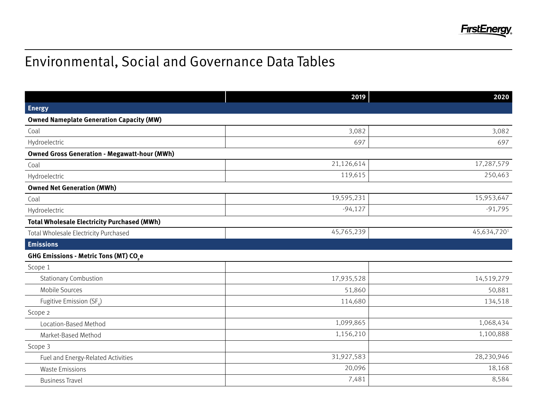

## Environmental, Social and Governance Data Tables

|                                                     | 2019       | 2020        |
|-----------------------------------------------------|------------|-------------|
| <b>Energy</b>                                       |            |             |
| <b>Owned Nameplate Generation Capacity (MW)</b>     |            |             |
| Coal                                                | 3,082      | 3,082       |
| Hydroelectric                                       | 697        | 697         |
| <b>Owned Gross Generation - Megawatt-hour (MWh)</b> |            |             |
| Coal                                                | 21,126,614 | 17,287,579  |
| Hydroelectric                                       | 119,615    | 250,463     |
| <b>Owned Net Generation (MWh)</b>                   |            |             |
| Coal                                                | 19,595,231 | 15,953,647  |
| Hydroelectric                                       | $-94,127$  | $-91,795$   |
| <b>Total Wholesale Electricity Purchased (MWh)</b>  |            |             |
| Total Wholesale Electricity Purchased               | 45,765,239 | 45,634,7201 |
| <b>Emissions</b>                                    |            |             |
| GHG Emissions - Metric Tons (MT) CO.e               |            |             |
| Scope 1                                             |            |             |
| <b>Stationary Combustion</b>                        | 17,935,528 | 14,519,279  |
| Mobile Sources                                      | 51,860     | 50,881      |
| Fugitive Emission (SF)                              | 114,680    | 134,518     |
| Scope 2                                             |            |             |
| Location-Based Method                               | 1,099,865  | 1,068,434   |
| Market-Based Method                                 | 1,156,210  | 1,100,888   |
| Scope 3                                             |            |             |
| Fuel and Energy-Related Activities                  | 31,927,583 | 28,230,946  |
| <b>Waste Emissions</b>                              | 20,096     | 18,168      |
| <b>Business Travel</b>                              | 7,481      | 8,584       |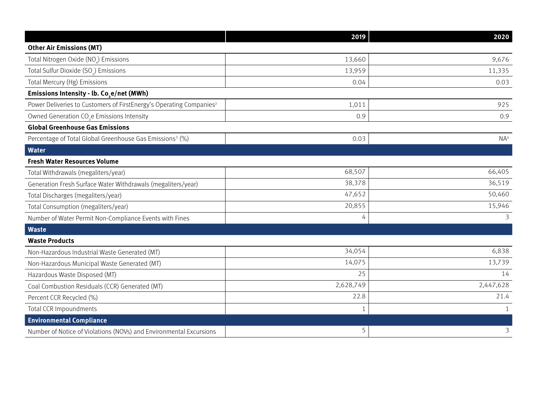|                                                                                 | 2019         | 2020            |
|---------------------------------------------------------------------------------|--------------|-----------------|
| <b>Other Air Emissions (MT)</b>                                                 |              |                 |
| Total Nitrogen Oxide (NO) Emissions                                             | 13,660       | 9,676           |
| Total Sulfur Dioxide (SO2) Emissions                                            | 13,959       | 11,335          |
| Total Mercury (Hg) Emissions                                                    | 0.04         | 0.03            |
| Emissions Intensity - lb. Co <sub>,</sub> e/net (MWh)                           |              |                 |
| Power Deliveries to Customers of FirstEnergy's Operating Companies <sup>2</sup> | 1,011        | 925             |
| Owned Generation CO <sub>2</sub> e Emissions Intensity                          | 0.9          | 0.9             |
| <b>Global Greenhouse Gas Emissions</b>                                          |              |                 |
| Percentage of Total Global Greenhouse Gas Emissions <sup>3</sup> (%)            | 0.03         | NA <sup>4</sup> |
| <b>Water</b>                                                                    |              |                 |
| <b>Fresh Water Resources Volume</b>                                             |              |                 |
| Total Withdrawals (megaliters/year)                                             | 68,507       | 66,405          |
| Generation Fresh Surface Water Withdrawals (megaliters/year)                    | 38,378       | 36,519          |
| Total Discharges (megaliters/year)                                              | 47,652       | 50,460          |
| Total Consumption (megaliters/year)                                             | 20,855       | 15,946          |
| Number of Water Permit Non-Compliance Events with Fines                         | 4            | 3               |
| <b>Waste</b>                                                                    |              |                 |
| <b>Waste Products</b>                                                           |              |                 |
| Non-Hazardous Industrial Waste Generated (MT)                                   | 34,054       | 6,838           |
| Non-Hazardous Municipal Waste Generated (MT)                                    | 14,075       | 13,739          |
| Hazardous Waste Disposed (MT)                                                   | 25           | 14              |
| Coal Combustion Residuals (CCR) Generated (MT)                                  | 2,628,749    | 2,447,628       |
| Percent CCR Recycled (%)                                                        | 22.8         | 21.4            |
| <b>Total CCR Impoundments</b>                                                   | $\mathbf{1}$ | $\mathbf{1}$    |
| <b>Environmental Compliance</b>                                                 |              |                 |
| Number of Notice of Violations (NOVs) and Environmental Excursions              | 5            | 3               |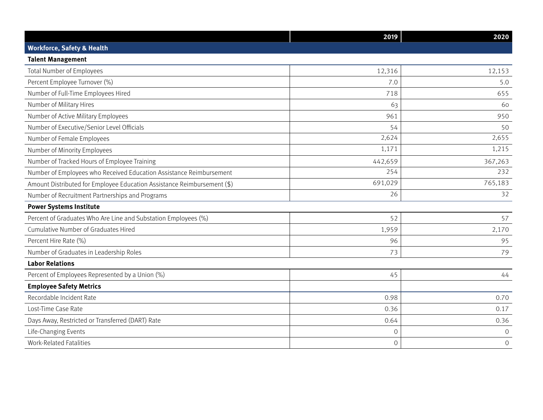|                                                                         | 2019           | 2020           |
|-------------------------------------------------------------------------|----------------|----------------|
| <b>Workforce, Safety &amp; Health</b>                                   |                |                |
| <b>Talent Management</b>                                                |                |                |
| <b>Total Number of Employees</b>                                        | 12,316         | 12,153         |
| Percent Employee Turnover (%)                                           | 7.0            | 5.0            |
| Number of Full-Time Employees Hired                                     | 718            | 655            |
| Number of Military Hires                                                | 63             | 60             |
| Number of Active Military Employees                                     | 961            | 950            |
| Number of Executive/Senior Level Officials                              | 54             | 50             |
| Number of Female Employees                                              | 2,624          | 2,655          |
| Number of Minority Employees                                            | 1,171          | 1,215          |
| Number of Tracked Hours of Employee Training                            | 442,659        | 367,263        |
| Number of Employees who Received Education Assistance Reimbursement     | 254            | 232            |
| Amount Distributed for Employee Education Assistance Reimbursement (\$) | 691,029        | 765,183        |
| Number of Recruitment Partnerships and Programs                         | 26             | 32             |
| <b>Power Systems Institute</b>                                          |                |                |
| Percent of Graduates Who Are Line and Substation Employees (%)          | 52             | 57             |
| Cumulative Number of Graduates Hired                                    | 1,959          | 2,170          |
| Percent Hire Rate (%)                                                   | 96             | 95             |
| Number of Graduates in Leadership Roles                                 | 73             | 79             |
| <b>Labor Relations</b>                                                  |                |                |
| Percent of Employees Represented by a Union (%)                         | 45             | 44             |
| <b>Employee Safety Metrics</b>                                          |                |                |
| Recordable Incident Rate                                                | 0.98           | 0.70           |
| Lost-Time Case Rate                                                     | 0.36           | 0.17           |
| Days Away, Restricted or Transferred (DART) Rate                        | 0.64           | 0.36           |
| Life-Changing Events                                                    | $\mathbf{0}$   | $\mathbf 0$    |
| <b>Work-Related Fatalities</b>                                          | $\overline{0}$ | $\overline{O}$ |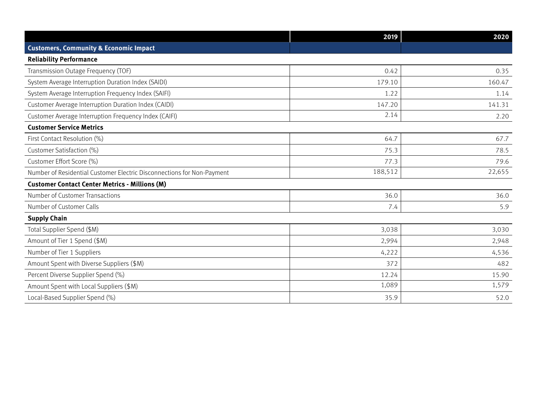|                                                                        | 2019    | 2020   |
|------------------------------------------------------------------------|---------|--------|
| <b>Customers, Community &amp; Economic Impact</b>                      |         |        |
| <b>Reliability Performance</b>                                         |         |        |
| Transmission Outage Frequency (TOF)                                    | 0.42    | 0.35   |
| System Average Interruption Duration Index (SAIDI)                     | 179.10  | 160.47 |
| System Average Interruption Frequency Index (SAIFI)                    | 1.22    | 1.14   |
| Customer Average Interruption Duration Index (CAIDI)                   | 147.20  | 141.31 |
| Customer Average Interruption Frequency Index (CAIFI)                  | 2.14    | 2.20   |
| <b>Customer Service Metrics</b>                                        |         |        |
| First Contact Resolution (%)                                           | 64.7    | 67.7   |
| Customer Satisfaction (%)                                              | 75.3    | 78.5   |
| Customer Effort Score (%)                                              | 77.3    | 79.6   |
| Number of Residential Customer Electric Disconnections for Non-Payment | 188,512 | 22,655 |
| <b>Customer Contact Center Metrics - Millions (M)</b>                  |         |        |
| Number of Customer Transactions                                        | 36.0    | 36.0   |
| Number of Customer Calls                                               | 7.4     | 5.9    |
| <b>Supply Chain</b>                                                    |         |        |
| Total Supplier Spend (\$M)                                             | 3,038   | 3,030  |
| Amount of Tier 1 Spend (\$M)                                           | 2,994   | 2,948  |
| Number of Tier 1 Suppliers                                             | 4,222   | 4,536  |
| Amount Spent with Diverse Suppliers (\$M)                              | 372     | 482    |
| Percent Diverse Supplier Spend (%)                                     | 12.24   | 15.90  |
| Amount Spent with Local Suppliers (\$M)                                | 1,089   | 1,579  |
| Local-Based Supplier Spend (%)                                         | 35.9    | 52.0   |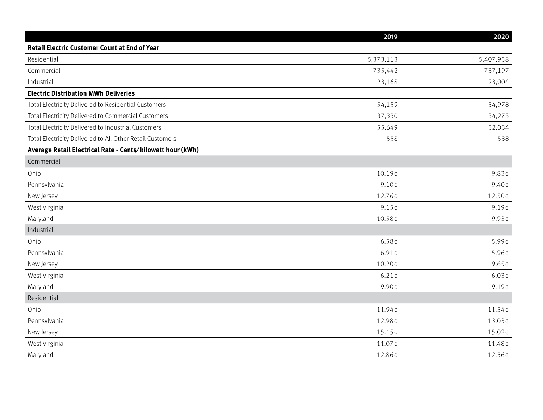|                                                            | 2019              | 2020               |
|------------------------------------------------------------|-------------------|--------------------|
| <b>Retail Electric Customer Count at End of Year</b>       |                   |                    |
| Residential                                                | 5,373,113         | 5,407,958          |
| Commercial                                                 | 735,442           | 737,197            |
| Industrial                                                 | 23,168            | 23,004             |
| <b>Electric Distribution MWh Deliveries</b>                |                   |                    |
| Total Electricity Delivered to Residential Customers       | 54,159            | 54,978             |
| Total Electricity Delivered to Commercial Customers        | 37,330            | 34,273             |
| Total Electricity Delivered to Industrial Customers        | 55,649            | 52,034             |
| Total Electricity Delivered to All Other Retail Customers  | 558               | 538                |
| Average Retail Electrical Rate - Cents/kilowatt hour (kWh) |                   |                    |
| Commercial                                                 |                   |                    |
| Ohio                                                       | 10.19¢            | $9.83$ ¢           |
| Pennsylvania                                               | $9.10$ ¢          | $9.40$ ¢           |
| New Jersey                                                 | 12.76¢            | 12.50¢             |
| West Virginia                                              | $9.15$ ¢          | $9.19$ ¢           |
| Maryland                                                   | 10.58¢            | $9.93$ ¢           |
| Industrial                                                 |                   |                    |
| Ohio                                                       | 6.58 <sub>¢</sub> | 5.99¢              |
| Pennsylvania                                               | $6.91$ ¢          | 5.96¢              |
| New Jersey                                                 | 10.20¢            | $9.65$ ¢           |
| West Virginia                                              | $6.21$ ¢          | $6.03 \, \text{C}$ |
| Maryland                                                   | 9.90¢             | $9.19$ ¢           |
| Residential                                                |                   |                    |
| Ohio                                                       | 11.94¢            | 11.54¢             |
| Pennsylvania                                               | 12.98¢            | 13.03¢             |
| New Jersey                                                 | $15.15$ ¢         | 15.02¢             |
| West Virginia                                              | 11.07¢            | 11.48¢             |
| Maryland                                                   | 12.86¢            | 12.56¢             |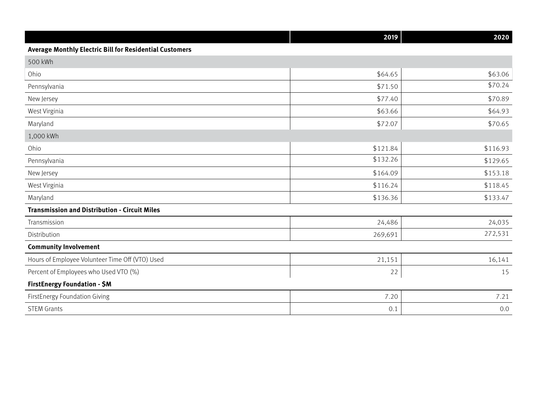|                                                         | 2019     | 2020     |  |
|---------------------------------------------------------|----------|----------|--|
| Average Monthly Electric Bill for Residential Customers |          |          |  |
| 500 kWh                                                 |          |          |  |
| Ohio                                                    | \$64.65  | \$63.06  |  |
| Pennsylvania                                            | \$71.50  | \$70.24  |  |
| New Jersey                                              | \$77.40  | \$70.89  |  |
| West Virginia                                           | \$63.66  | \$64.93  |  |
| Maryland                                                | \$72.07  | \$70.65  |  |
| 1,000 kWh                                               |          |          |  |
| Ohio                                                    | \$121.84 | \$116.93 |  |
| Pennsylvania                                            | \$132.26 | \$129.65 |  |
| New Jersey                                              | \$164.09 | \$153.18 |  |
| West Virginia                                           | \$116.24 | \$118.45 |  |
| Maryland                                                | \$136.36 | \$133.47 |  |
| <b>Transmission and Distribution - Circuit Miles</b>    |          |          |  |
| Transmission                                            | 24,486   | 24,035   |  |
| Distribution                                            | 269,691  | 272,531  |  |
| <b>Community Involvement</b>                            |          |          |  |
| Hours of Employee Volunteer Time Off (VTO) Used         | 21,151   | 16,141   |  |
| Percent of Employees who Used VTO (%)                   | 22       | 15       |  |
| <b>FirstEnergy Foundation - \$M</b>                     |          |          |  |
| FirstEnergy Foundation Giving                           | 7.20     | 7.21     |  |
| <b>STEM Grants</b>                                      | 0.1      | 0.0      |  |